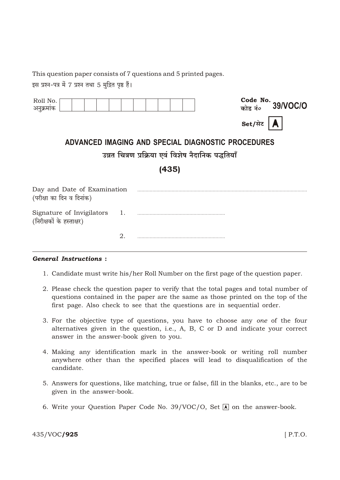This question paper consists of 7 questions and 5 printed pages.

इस प्रश्न-पत्र में 7 प्रश्न तथा 5 मुद्रित पृष्ठ हैं।

| Roll No.<br>अनुक्रमांक                                   |                  |  |  | Code No. $39/VOC/O$ |
|----------------------------------------------------------|------------------|--|--|---------------------|
|                                                          |                  |  |  | Set/सेट             |
| ADVANCED IMAGING AND SPECIAL DIAGNOSTIC PROCEDURES       |                  |  |  |                     |
| उन्नत चित्रण प्रक्रिया एवं विशेष नैदानिक पद्धतियाँ       |                  |  |  |                     |
| (435)                                                    |                  |  |  |                     |
| Day and Date of Examination<br>(परीक्षा का दिन व दिनांक) |                  |  |  |                     |
| Signature of Invigilators<br>(निरीक्षकों के हस्ताक्षर)   | $\overline{1}$ . |  |  |                     |
|                                                          | 2.               |  |  |                     |

## **General Instructions:**

- 1. Candidate must write his/her Roll Number on the first page of the question paper.
- 2. Please check the question paper to verify that the total pages and total number of questions contained in the paper are the same as those printed on the top of the first page. Also check to see that the questions are in sequential order.
- 3. For the objective type of questions, you have to choose any one of the four alternatives given in the question, i.e., A, B, C or D and indicate your correct answer in the answer-book given to you.
- 4. Making any identification mark in the answer-book or writing roll number anywhere other than the specified places will lead to disqualification of the candidate.
- 5. Answers for questions, like matching, true or false, fill in the blanks, etc., are to be given in the answer-book.
- 6. Write your Question Paper Code No. 39/VOC/O, Set  $\Lambda$  on the answer-book.